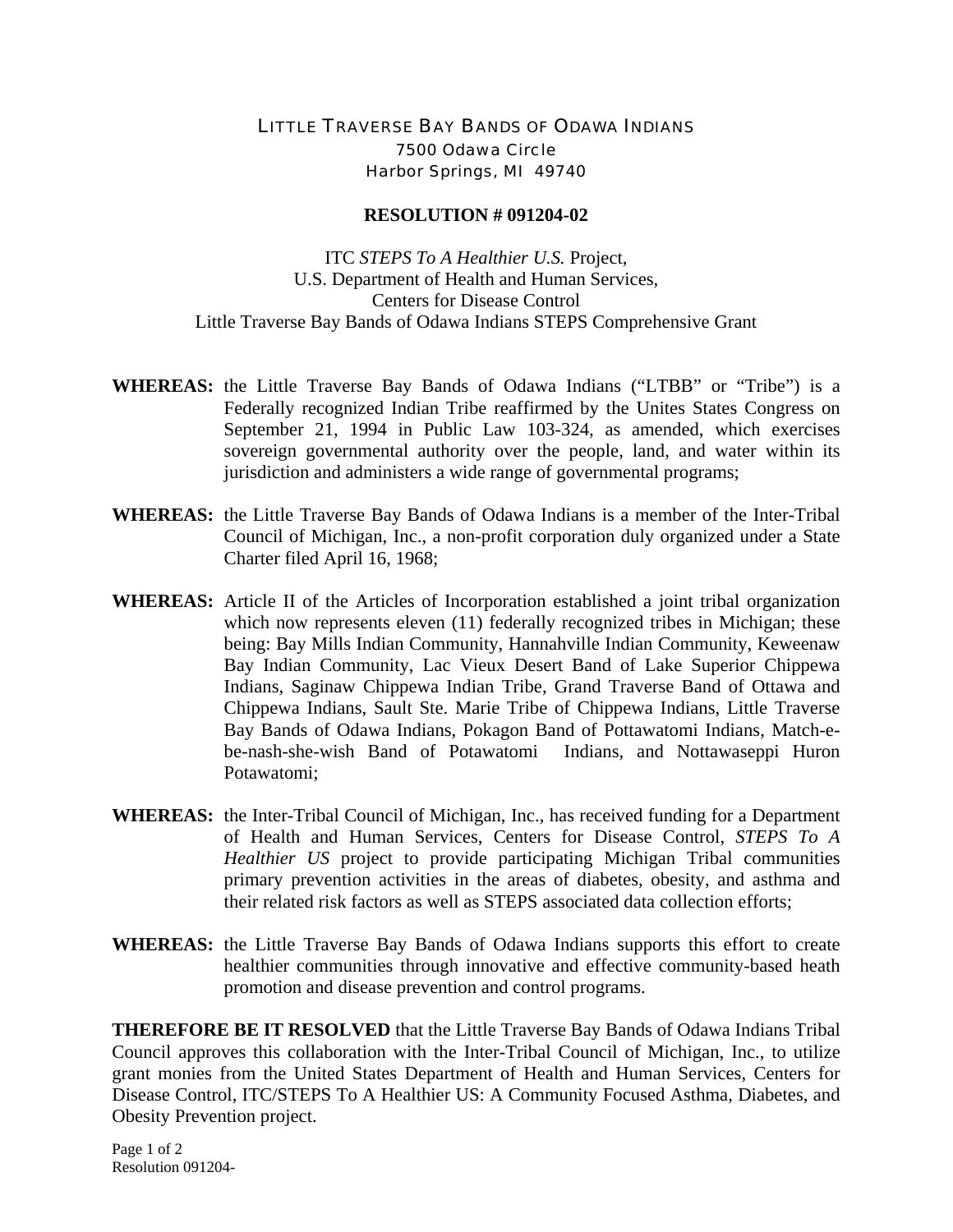## LITTLE TRAVERSE BAY BANDS OF ODAWA INDIANS 7500 Odawa Circle Harbor Springs, MI 49740

## **RESOLUTION # 091204-02**

ITC *STEPS To A Healthier U.S.* Project, U.S. Department of Health and Human Services, Centers for Disease Control Little Traverse Bay Bands of Odawa Indians STEPS Comprehensive Grant

- **WHEREAS:** the Little Traverse Bay Bands of Odawa Indians ("LTBB" or "Tribe") is a Federally recognized Indian Tribe reaffirmed by the Unites States Congress on September 21, 1994 in Public Law 103-324, as amended, which exercises sovereign governmental authority over the people, land, and water within its jurisdiction and administers a wide range of governmental programs;
- **WHEREAS:** the Little Traverse Bay Bands of Odawa Indians is a member of the Inter-Tribal Council of Michigan, Inc., a non-profit corporation duly organized under a State Charter filed April 16, 1968;
- **WHEREAS:** Article II of the Articles of Incorporation established a joint tribal organization which now represents eleven (11) federally recognized tribes in Michigan; these being: Bay Mills Indian Community, Hannahville Indian Community, Keweenaw Bay Indian Community, Lac Vieux Desert Band of Lake Superior Chippewa Indians, Saginaw Chippewa Indian Tribe, Grand Traverse Band of Ottawa and Chippewa Indians, Sault Ste. Marie Tribe of Chippewa Indians, Little Traverse Bay Bands of Odawa Indians, Pokagon Band of Pottawatomi Indians, Match-ebe-nash-she-wish Band of Potawatomi Indians, and Nottawaseppi Huron Potawatomi;
- **WHEREAS:** the Inter-Tribal Council of Michigan, Inc., has received funding for a Department of Health and Human Services, Centers for Disease Control, *STEPS To A Healthier US* project to provide participating Michigan Tribal communities primary prevention activities in the areas of diabetes, obesity, and asthma and their related risk factors as well as STEPS associated data collection efforts;
- **WHEREAS:** the Little Traverse Bay Bands of Odawa Indians supports this effort to create healthier communities through innovative and effective community-based heath promotion and disease prevention and control programs.

**THEREFORE BE IT RESOLVED** that the Little Traverse Bay Bands of Odawa Indians Tribal Council approves this collaboration with the Inter-Tribal Council of Michigan, Inc., to utilize grant monies from the United States Department of Health and Human Services, Centers for Disease Control, ITC/STEPS To A Healthier US: A Community Focused Asthma, Diabetes, and Obesity Prevention project.

Page 1 of 2 Resolution 091204-